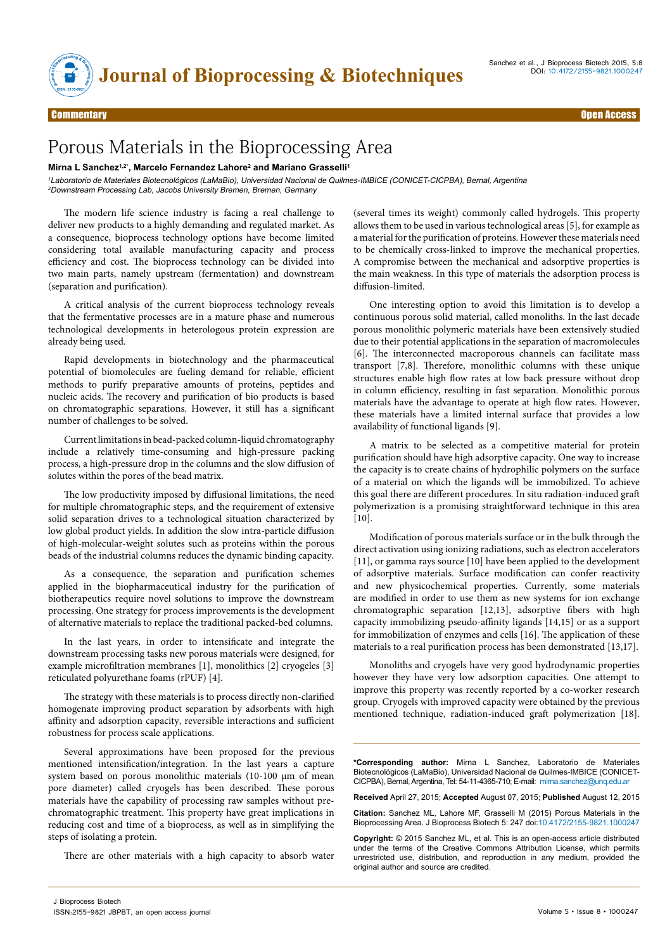

## Commentary Open Access

# Porous Materials in the Bioprocessing Area

## Mirna L Sanchez<sup>1,2\*</sup>, Marcelo Fernandez Lahore<sup>2</sup> and Mariano Grasselli<sup>1</sup>

<sup>1</sup>Laboratorio de Materiales Biotecnológicos (LaMaBio), Universidad Nacional de Quilmes-IMBICE (CONICET-CICPBA), Bernal, Argentina <sup>2</sup>Downstream Processing Lab, Jacobs University Bremen, Bremen, Germany

The modern life science industry is facing a real challenge to deliver new products to a highly demanding and regulated market. As a consequence, bioprocess technology options have become limited considering total available manufacturing capacity and process efficiency and cost. The bioprocess technology can be divided into two main parts, namely upstream (fermentation) and downstream (separation and purification).

A critical analysis of the current bioprocess technology reveals that the fermentative processes are in a mature phase and numerous technological developments in heterologous protein expression are already being used.

Rapid developments in biotechnology and the pharmaceutical potential of biomolecules are fueling demand for reliable, efficient methods to purify preparative amounts of proteins, peptides and nucleic acids. The recovery and purification of bio products is based on chromatographic separations. However, it still has a significant number of challenges to be solved.

Current limitations in bead-packed column-liquid chromatography include a relatively time-consuming and high-pressure packing process, a high-pressure drop in the columns and the slow diffusion of solutes within the pores of the bead matrix.

The low productivity imposed by diffusional limitations, the need for multiple chromatographic steps, and the requirement of extensive solid separation drives to a technological situation characterized by low global product yields. In addition the slow intra-particle diffusion of high-molecular-weight solutes such as proteins within the porous beads of the industrial columns reduces the dynamic binding capacity.

As a consequence, the separation and purification schemes applied in the biopharmaceutical industry for the purification of biotherapeutics require novel solutions to improve the downstream processing. One strategy for process improvements is the development of alternative materials to replace the traditional packed-bed columns.

In the last years, in order to intensificate and integrate the downstream processing tasks new porous materials were designed, for example microfiltration membranes [1], monolithics [2] cryogeles [3] reticulated polyurethane foams (rPUF) [4].

The strategy with these materials is to process directly non-clarified homogenate improving product separation by adsorbents with high affinity and adsorption capacity, reversible interactions and sufficient robustness for process scale applications.

Several approximations have been proposed for the previous mentioned intensification/integration. In the last years a capture system based on porous monolithic materials (10-100 µm of mean pore diameter) called cryogels has been described. These porous materials have the capability of processing raw samples without prechromatographic treatment. This property have great implications in reducing cost and time of a bioprocess, as well as in simplifying the steps of isolating a protein.

There are other materials with a high capacity to absorb water

(several times its weight) commonly called hydrogels. This property allows them to be used in various technological areas [5], for example as a material for the purification of proteins. However these materials need to be chemically cross-linked to improve the mechanical properties. A compromise between the mechanical and adsorptive properties is the main weakness. In this type of materials the adsorption process is diffusion-limited.

One interesting option to avoid this limitation is to develop a continuous porous solid material, called monoliths. In the last decade porous monolithic polymeric materials have been extensively studied due to their potential applications in the separation of macromolecules [6]. The interconnected macroporous channels can facilitate mass transport [7,8]. Therefore, monolithic columns with these unique structures enable high flow rates at low back pressure without drop in column efficiency, resulting in fast separation. Monolithic porous materials have the advantage to operate at high flow rates. However, these materials have a limited internal surface that provides a low availability of functional ligands [9].

A matrix to be selected as a competitive material for protein purification should have high adsorptive capacity. One way to increase the capacity is to create chains of hydrophilic polymers on the surface of a material on which the ligands will be immobilized. To achieve this goal there are different procedures. In situ radiation-induced graft polymerization is a promising straightforward technique in this area [10].

Modification of porous materials surface or in the bulk through the direct activation using ionizing radiations, such as electron accelerators [11], or gamma rays source [10] have been applied to the development of adsorptive materials. Surface modification can confer reactivity and new physicochemical properties. Currently, some materials are modified in order to use them as new systems for ion exchange chromatographic separation [12,13], adsorptive fibers with high capacity immobilizing pseudo-affinity ligands [14,15] or as a support for immobilization of enzymes and cells [16]. The application of these materials to a real purification process has been demonstrated [13,17].

Monoliths and cryogels have very good hydrodynamic properties however they have very low adsorption capacities. One attempt to improve this property was recently reported by a co-worker research group. Cryogels with improved capacity were obtained by the previous mentioned technique, radiation-induced graft polymerization [18].

**\*Corresponding author:** Mirna L Sanchez, Laboratorio de Materiales Biotecnológicos (LaMaBio), Universidad Nacional de Quilmes-IMBICE (CONICET-CICPBA), Bernal, Argentina, Tel: 54-11-4365-710; E-mail: mirna.sanchez@unq.edu.ar

**Received** April 27, 2015; **Accepted** August 07, 2015; **Published** August 12, 2015

**Citation:** Sanchez ML, Lahore MF, Grasselli M (2015) Porous Materials in the Bioprocessing Area. J Bioprocess Biotech 5: 247 doi:10.4172/2155-9821.1000247

**Copyright:** © 2015 Sanchez ML, et al. This is an open-access article distributed under the terms of the Creative Commons Attribution License, which permits unrestricted use, distribution, and reproduction in any medium, provided the original author and source are credited.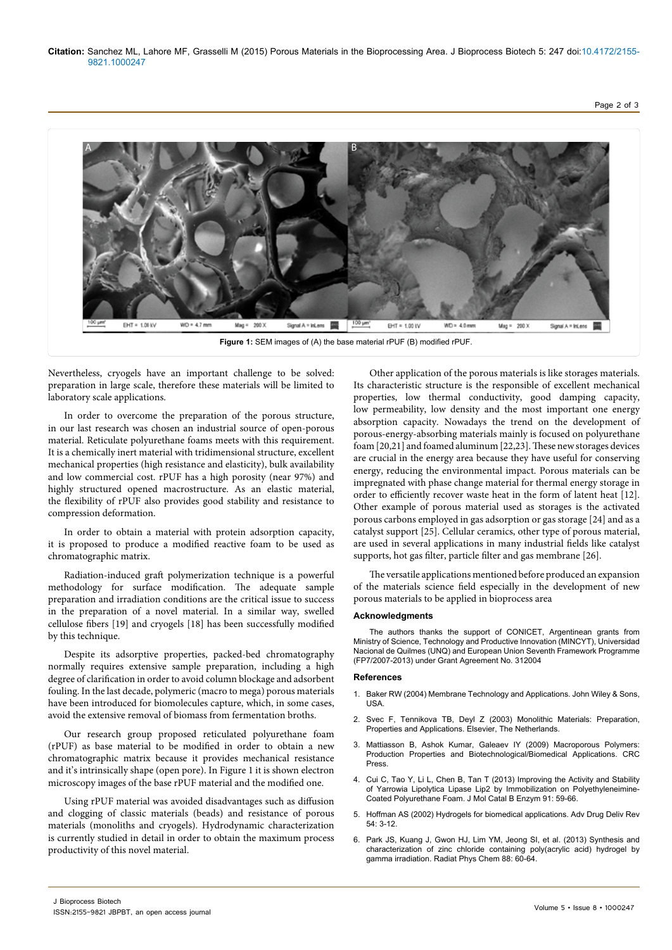

Nevertheless, cryogels have an important challenge to be solved: preparation in large scale, therefore these materials will be limited to laboratory scale applications.

In order to overcome the preparation of the porous structure, in our last research was chosen an industrial source of open-porous material. Reticulate polyurethane foams meets with this requirement. It is a chemically inert material with tridimensional structure, excellent mechanical properties (high resistance and elasticity), bulk availability and low commercial cost. rPUF has a high porosity (near 97%) and highly structured opened macrostructure. As an elastic material, the flexibility of rPUF also provides good stability and resistance to compression deformation.

In order to obtain a material with protein adsorption capacity, it is proposed to produce a modified reactive foam to be used as chromatographic matrix.

Radiation-induced graft polymerization technique is a powerful methodology for surface modification. The adequate sample preparation and irradiation conditions are the critical issue to success in the preparation of a novel material. In a similar way, swelled cellulose fibers [19] and cryogels [18] has been successfully modified by this technique.

Despite its adsorptive properties, packed-bed chromatography normally requires extensive sample preparation, including a high degree of clarification in order to avoid column blockage and adsorbent fouling. In the last decade, polymeric (macro to mega) porous materials have been introduced for biomolecules capture, which, in some cases, avoid the extensive removal of biomass from fermentation broths.

Our research group proposed reticulated polyurethane foam (rPUF) as base material to be modified in order to obtain a new chromatographic matrix because it provides mechanical resistance and it's intrinsically shape (open pore). In Figure 1 it is shown electron microscopy images of the base rPUF material and the modified one.

Using rPUF material was avoided disadvantages such as diffusion and clogging of classic materials (beads) and resistance of porous materials (monoliths and cryogels). Hydrodynamic characterization is currently studied in detail in order to obtain the maximum process productivity of this novel material.

Other application of the porous materials is like storages materials. Its characteristic structure is the responsible of excellent mechanical properties, low thermal conductivity, good damping capacity, low permeability, low density and the most important one energy absorption capacity. Nowadays the trend on the development of porous-energy-absorbing materials mainly is focused on polyurethane foam [20,21] and foamed aluminum [22,23]. These new storages devices are crucial in the energy area because they have useful for conserving energy, reducing the environmental impact. Porous materials can be impregnated with phase change material for thermal energy storage in order to efficiently recover waste heat in the form of latent heat [12]. Other example of porous material used as storages is the activated porous carbons employed in gas adsorption or gas storage [24] and as a catalyst support [25]. Cellular ceramics, other type of porous material, are used in several applications in many industrial fields like catalyst supports, hot gas filter, particle filter and gas membrane [26].

The versatile applications mentioned before produced an expansion of the materials science field especially in the development of new porous materials to be applied in bioprocess area

## **Acknowledgments**

The authors thanks the support of CONICET, Argentinean grants from Ministry of Science, Technology and Productive Innovation (MINCYT), Universidad Nacional de Quilmes (UNQ) and European Union Seventh Framework Programme (FP7/2007-2013) under Grant Agreement No. 312004

## **References**

- 1. [Baker RW \(2004\) Membrane Technology and Applications. John Wiley & Sons,](https://books.google.co.in/books?id=FhtBKUq4rL8C&printsec=frontcover&dq=Membrane+Technology+and+Applications&hl=en&sa=X&ved=0CBwQ6AEwAGoVChMI-82DjqiUxwIV0FCOCh2iMAW2#v=onepage&q=Membrane Technology and Applications&f=false)  [USA.](https://books.google.co.in/books?id=FhtBKUq4rL8C&printsec=frontcover&dq=Membrane+Technology+and+Applications&hl=en&sa=X&ved=0CBwQ6AEwAGoVChMI-82DjqiUxwIV0FCOCh2iMAW2#v=onepage&q=Membrane Technology and Applications&f=false)
- 2. [Svec F, Tennikova TB, Deyl Z \(2003\) Monolithic Materials: Preparation,](https://books.google.co.in/books?id=XjLHaF4r-zYC&printsec=frontcover&dq=Monolithic+Materials:+Preparation,+Properties+and+Applications&hl=en&sa=X&ved=0CBwQ6AEwAGoVChMIpY2up6iUxwIVz1SOCh2KPwN_#v=onepage&q=Monolithic Materials%3A Preparation%2C Properties and Applications&f=false)  [Properties and Applications. Elsevier, The Netherlands.](https://books.google.co.in/books?id=XjLHaF4r-zYC&printsec=frontcover&dq=Monolithic+Materials:+Preparation,+Properties+and+Applications&hl=en&sa=X&ved=0CBwQ6AEwAGoVChMIpY2up6iUxwIVz1SOCh2KPwN_#v=onepage&q=Monolithic Materials%3A Preparation%2C Properties and Applications&f=false)
- 3. Mattiasson B, Ashok Kumar, Galeaev IY (2009) Macroporous Polymers: Production Properties and Biotechnological/Biomedical Applications. CRC Press.
- 4. Cui C, Tao Y, Li L, Chen B, Tan T (2013) Improving the Activity and Stability of Yarrowia Lipolytica Lipase Lip2 by Immobilization on Polyethyleneimine-Coated Polyurethane Foam. J Mol Catal B Enzym 91: 59-66.
- 5. [Hoffman AS \(2002\) Hydrogels for biomedical applications. Adv Drug Deliv Rev](http://www.sciencedirect.com/science/article/pii/S0169409X01002393)  [54: 3-12.](http://www.sciencedirect.com/science/article/pii/S0169409X01002393)
- 6. [Park JS, Kuang J, Gwon HJ, Lim YM, Jeong SI, et al. \(2013\) Synthesis and](http://www.sciencedirect.com/science/article/pii/S0969806X13001527?np=y)  [characterization of zinc chloride containing poly\(acrylic acid\) hydrogel by](http://www.sciencedirect.com/science/article/pii/S0969806X13001527?np=y)  [gamma irradiation. Radiat Phys Chem 88: 60-64.](http://www.sciencedirect.com/science/article/pii/S0969806X13001527?np=y)